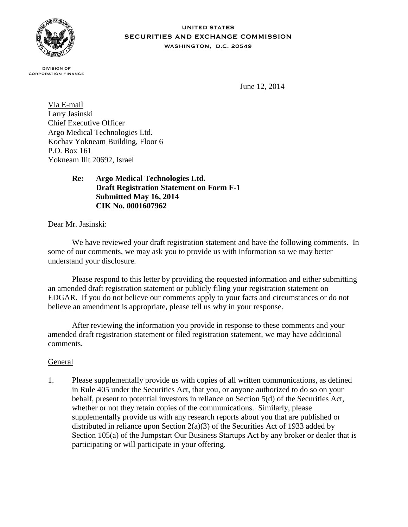

#### **UNITED STATES** SECURITIES AND EXCHANGE COMMISSION WASHINGTON, D.C. 20549

**DIVISION OF CORPORATION FINANCE** 

June 12, 2014

Via E-mail Larry Jasinski Chief Executive Officer Argo Medical Technologies Ltd. Kochav Yokneam Building, Floor 6 P.O. Box 161 Yokneam Ilit 20692, Israel

# **Re: Argo Medical Technologies Ltd. Draft Registration Statement on Form F-1 Submitted May 16, 2014 CIK No. 0001607962**

Dear Mr. Jasinski:

We have reviewed your draft registration statement and have the following comments. In some of our comments, we may ask you to provide us with information so we may better understand your disclosure.

Please respond to this letter by providing the requested information and either submitting an amended draft registration statement or publicly filing your registration statement on EDGAR. If you do not believe our comments apply to your facts and circumstances or do not believe an amendment is appropriate, please tell us why in your response.

After reviewing the information you provide in response to these comments and your amended draft registration statement or filed registration statement, we may have additional comments.

# General

1. Please supplementally provide us with copies of all written communications, as defined in Rule 405 under the Securities Act, that you, or anyone authorized to do so on your behalf, present to potential investors in reliance on Section 5(d) of the Securities Act, whether or not they retain copies of the communications. Similarly, please supplementally provide us with any research reports about you that are published or distributed in reliance upon Section  $2(a)(3)$  of the Securities Act of 1933 added by Section 105(a) of the Jumpstart Our Business Startups Act by any broker or dealer that is participating or will participate in your offering.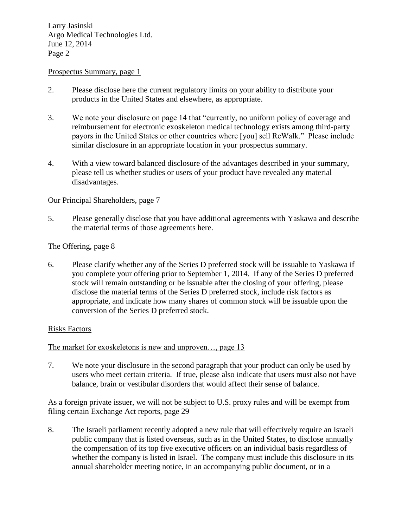#### Prospectus Summary, page 1

- 2. Please disclose here the current regulatory limits on your ability to distribute your products in the United States and elsewhere, as appropriate.
- 3. We note your disclosure on page 14 that "currently, no uniform policy of coverage and reimbursement for electronic exoskeleton medical technology exists among third-party payors in the United States or other countries where [you] sell ReWalk." Please include similar disclosure in an appropriate location in your prospectus summary.
- 4. With a view toward balanced disclosure of the advantages described in your summary, please tell us whether studies or users of your product have revealed any material disadvantages.

### Our Principal Shareholders, page 7

5. Please generally disclose that you have additional agreements with Yaskawa and describe the material terms of those agreements here.

#### The Offering, page 8

6. Please clarify whether any of the Series D preferred stock will be issuable to Yaskawa if you complete your offering prior to September 1, 2014. If any of the Series D preferred stock will remain outstanding or be issuable after the closing of your offering, please disclose the material terms of the Series D preferred stock, include risk factors as appropriate, and indicate how many shares of common stock will be issuable upon the conversion of the Series D preferred stock.

### Risks Factors

### The market for exoskeletons is new and unproven..., page 13

7. We note your disclosure in the second paragraph that your product can only be used by users who meet certain criteria. If true, please also indicate that users must also not have balance, brain or vestibular disorders that would affect their sense of balance.

As a foreign private issuer, we will not be subject to U.S. proxy rules and will be exempt from filing certain Exchange Act reports, page 29

8. The Israeli parliament recently adopted a new rule that will effectively require an Israeli public company that is listed overseas, such as in the United States, to disclose annually the compensation of its top five executive officers on an individual basis regardless of whether the company is listed in Israel. The company must include this disclosure in its annual shareholder meeting notice, in an accompanying public document, or in a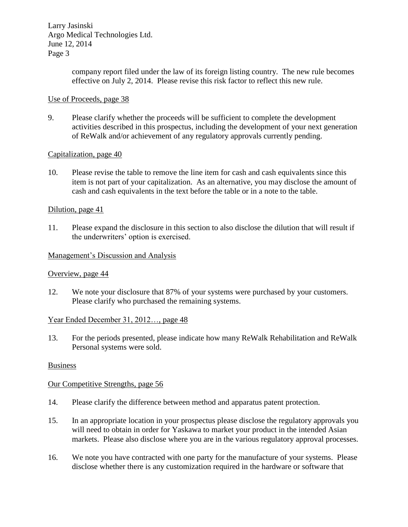> company report filed under the law of its foreign listing country. The new rule becomes effective on July 2, 2014. Please revise this risk factor to reflect this new rule.

### Use of Proceeds, page 38

9. Please clarify whether the proceeds will be sufficient to complete the development activities described in this prospectus, including the development of your next generation of ReWalk and/or achievement of any regulatory approvals currently pending.

### Capitalization, page 40

10. Please revise the table to remove the line item for cash and cash equivalents since this item is not part of your capitalization. As an alternative, you may disclose the amount of cash and cash equivalents in the text before the table or in a note to the table.

### Dilution, page 41

11. Please expand the disclosure in this section to also disclose the dilution that will result if the underwriters' option is exercised.

### Management's Discussion and Analysis

### Overview, page 44

12. We note your disclosure that 87% of your systems were purchased by your customers. Please clarify who purchased the remaining systems.

### Year Ended December 31, 2012…, page 48

13. For the periods presented, please indicate how many ReWalk Rehabilitation and ReWalk Personal systems were sold.

### **Business**

### Our Competitive Strengths, page 56

- 14. Please clarify the difference between method and apparatus patent protection.
- 15. In an appropriate location in your prospectus please disclose the regulatory approvals you will need to obtain in order for Yaskawa to market your product in the intended Asian markets. Please also disclose where you are in the various regulatory approval processes.
- 16. We note you have contracted with one party for the manufacture of your systems. Please disclose whether there is any customization required in the hardware or software that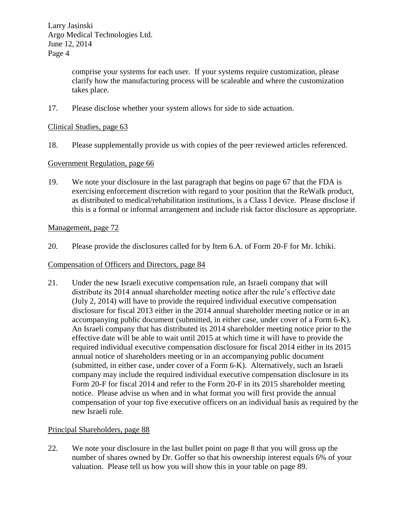> comprise your systems for each user. If your systems require customization, please clarify how the manufacturing process will be scaleable and where the customization takes place.

17. Please disclose whether your system allows for side to side actuation.

## Clinical Studies, page 63

18. Please supplementally provide us with copies of the peer reviewed articles referenced.

## Government Regulation, page 66

19. We note your disclosure in the last paragraph that begins on page 67 that the FDA is exercising enforcement discretion with regard to your position that the ReWalk product, as distributed to medical/rehabilitation institutions, is a Class I device. Please disclose if this is a formal or informal arrangement and include risk factor disclosure as appropriate.

### Management, page 72

20. Please provide the disclosures called for by Item 6.A. of Form 20-F for Mr. Ichiki.

#### Compensation of Officers and Directors, page 84

21. Under the new Israeli executive compensation rule, an Israeli company that will distribute its 2014 annual shareholder meeting notice after the rule's effective date (July 2, 2014) will have to provide the required individual executive compensation disclosure for fiscal 2013 either in the 2014 annual shareholder meeting notice or in an accompanying public document (submitted, in either case, under cover of a Form 6-K). An Israeli company that has distributed its 2014 shareholder meeting notice prior to the effective date will be able to wait until 2015 at which time it will have to provide the required individual executive compensation disclosure for fiscal 2014 either in its 2015 annual notice of shareholders meeting or in an accompanying public document (submitted, in either case, under cover of a Form 6-K). Alternatively, such an Israeli company may include the required individual executive compensation disclosure in its Form 20-F for fiscal 2014 and refer to the Form 20-F in its 2015 shareholder meeting notice. Please advise us when and in what format you will first provide the annual compensation of your top five executive officers on an individual basis as required by the new Israeli rule.

### Principal Shareholders, page 88

22. We note your disclosure in the last bullet point on page 8 that you will gross up the number of shares owned by Dr. Goffer so that his ownership interest equals 6% of your valuation. Please tell us how you will show this in your table on page 89.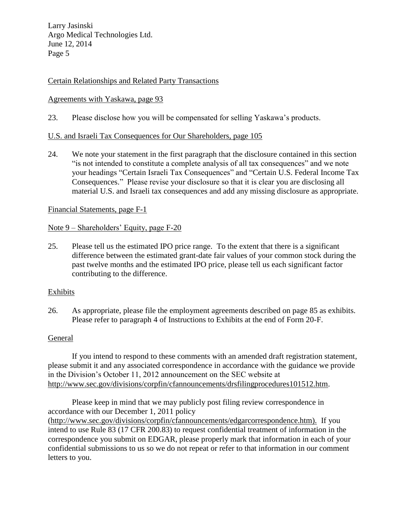## Certain Relationships and Related Party Transactions

## Agreements with Yaskawa, page 93

23. Please disclose how you will be compensated for selling Yaskawa's products.

### U.S. and Israeli Tax Consequences for Our Shareholders, page 105

24. We note your statement in the first paragraph that the disclosure contained in this section "is not intended to constitute a complete analysis of all tax consequences" and we note your headings "Certain Israeli Tax Consequences" and "Certain U.S. Federal Income Tax Consequences." Please revise your disclosure so that it is clear you are disclosing all material U.S. and Israeli tax consequences and add any missing disclosure as appropriate.

#### Financial Statements, page F-1

### Note 9 – Shareholders' Equity, page F-20

25. Please tell us the estimated IPO price range. To the extent that there is a significant difference between the estimated grant-date fair values of your common stock during the past twelve months and the estimated IPO price, please tell us each significant factor contributing to the difference.

### Exhibits

26. As appropriate, please file the employment agreements described on page 85 as exhibits. Please refer to paragraph 4 of Instructions to Exhibits at the end of Form 20-F.

#### General

If you intend to respond to these comments with an amended draft registration statement, please submit it and any associated correspondence in accordance with the guidance we provide in the Division's October 11, 2012 announcement on the SEC website at http://www.sec.gov/divisions/corpfin/cfannouncements/drsfilingprocedures101512.htm.

Please keep in mind that we may publicly post filing review correspondence in accordance with our December 1, 2011 policy (http://www.sec.gov/divisions/corpfin/cfannouncements/edgarcorrespondence.htm). If you intend to use Rule 83 (17 CFR 200.83) to request confidential treatment of information in the correspondence you submit on EDGAR, please properly mark that information in each of your confidential submissions to us so we do not repeat or refer to that information in our comment letters to you.